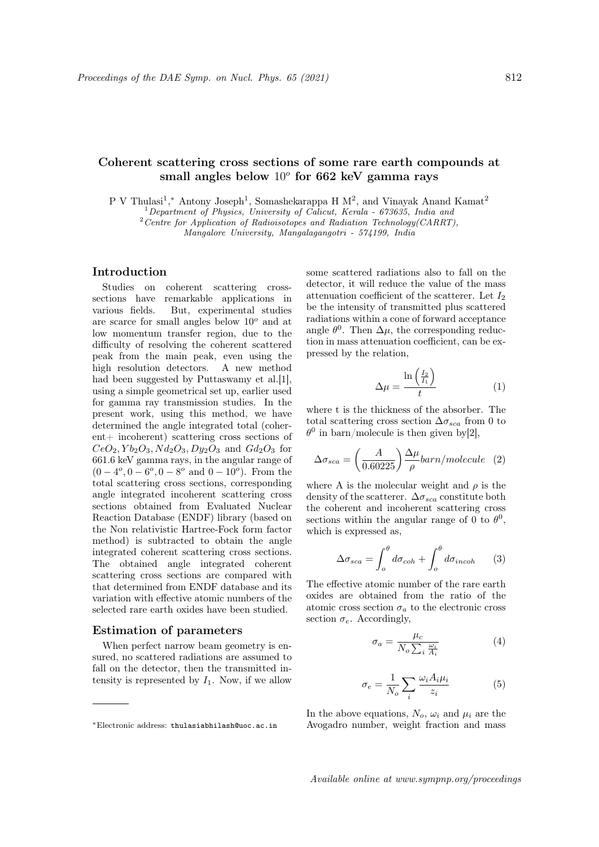# Coherent scattering cross sections of some rare earth compounds at small angles below  $10^o$  for 662 keV gamma rays

P V Thulasi<sup>1</sup>,\* Antony Joseph<sup>1</sup>, Somashekarappa H  $M^2$ , and Vinayak Anand Kamat<sup>2</sup>

 $1$  Department of Physics, University of Calicut, Kerala - 673635, India and

 $2$ Centre for Application of Radioisotopes and Radiation Technology(CARRT),

Mangalore University, Mangalagangotri - 574199, India

# Introduction

Studies on coherent scattering crosssections have remarkable applications in various fields. But, experimental studies are scarce for small angles below  $10^{\circ}$  and at low momentum transfer region, due to the difficulty of resolving the coherent scattered peak from the main peak, even using the high resolution detectors. A new method had been suggested by Puttaswamy et al.[1], using a simple geometrical set up, earlier used for gamma ray transmission studies. In the present work, using this method, we have determined the angle integrated total (coherent+ incoherent) scattering cross sections of  $CeO<sub>2</sub>, Yb<sub>2</sub>O<sub>3</sub>, Nd<sub>2</sub>O<sub>3</sub>, Dy<sub>2</sub>O<sub>3</sub>$  and  $Gd<sub>2</sub>O<sub>3</sub>$  for 661.6 keV gamma rays, in the angular range of  $(0-4^o, 0-6^o, 0-8^o \text{ and } 0-10^o).$  From the total scattering cross sections, corresponding angle integrated incoherent scattering cross sections obtained from Evaluated Nuclear Reaction Database (ENDF) library (based on the Non relativistic Hartree-Fock form factor method) is subtracted to obtain the angle integrated coherent scattering cross sections. The obtained angle integrated coherent scattering cross sections are compared with that determined from ENDF database and its variation with effective atomic numbers of the selected rare earth oxides have been studied.

#### Estimation of parameters

When perfect narrow beam geometry is ensured, no scattered radiations are assumed to fall on the detector, then the transmitted intensity is represented by  $I_1$ . Now, if we allow some scattered radiations also to fall on the detector, it will reduce the value of the mass attenuation coefficient of the scatterer. Let  $I_2$ be the intensity of transmitted plus scattered radiations within a cone of forward acceptance angle  $\theta^0$ . Then  $\Delta\mu$ , the corresponding reduction in mass attenuation coefficient, can be expressed by the relation,

$$
\Delta \mu = \frac{\ln\left(\frac{I_2}{I_1}\right)}{t} \tag{1}
$$

where t is the thickness of the absorber. The total scattering cross section  $\Delta \sigma_{sca}$  from 0 to  $\theta^0$  in barn/molecule is then given by [2],

$$
\Delta \sigma_{sca} = \left(\frac{A}{0.60225}\right) \frac{\Delta \mu}{\rho} barn/molecule \quad (2)
$$

where A is the molecular weight and  $\rho$  is the density of the scatterer.  $\Delta\sigma_{sca}$  constitute both the coherent and incoherent scattering cross sections within the angular range of 0 to  $\theta^0$ , which is expressed as,

$$
\Delta \sigma_{sca} = \int_{o}^{\theta} d\sigma_{coh} + \int_{o}^{\theta} d\sigma_{incoh} \qquad (3)
$$

The effective atomic number of the rare earth oxides are obtained from the ratio of the atomic cross section  $\sigma_a$  to the electronic cross section  $\sigma_e$ . Accordingly,

$$
\sigma_a = \frac{\mu_c}{N_o \sum_i \frac{\omega_i}{A_i}} \tag{4}
$$

$$
\sigma_e = \frac{1}{N_o} \sum_i \frac{\omega_i A_i \mu_i}{z_i} \tag{5}
$$

In the above equations,  $N_o$ ,  $\omega_i$  and  $\mu_i$  are the Avogadro number, weight fraction and mass

<sup>∗</sup>Electronic address: thulasiabhilash@uoc.ac.in